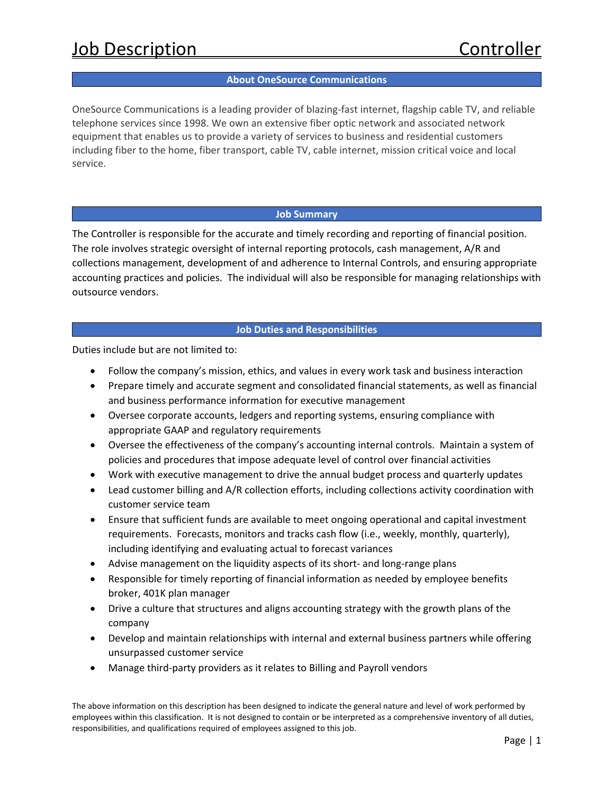### **About OneSource Communications**

OneSource Communications is a leading provider of blazing‐fast internet, flagship cable TV, and reliable telephone services since 1998. We own an extensive fiber optic network and associated network equipment that enables us to provide a variety of services to business and residential customers including fiber to the home, fiber transport, cable TV, cable internet, mission critical voice and local service.

### **Job Summary**

The Controller is responsible for the accurate and timely recording and reporting of financial position. The role involves strategic oversight of internal reporting protocols, cash management, A/R and collections management, development of and adherence to Internal Controls, and ensuring appropriate accounting practices and policies. The individual will also be responsible for managing relationships with outsource vendors.

# **Job Duties and Responsibilities**

Duties include but are not limited to:

- Follow the company's mission, ethics, and values in every work task and business interaction
- Prepare timely and accurate segment and consolidated financial statements, as well as financial and business performance information for executive management
- Oversee corporate accounts, ledgers and reporting systems, ensuring compliance with appropriate GAAP and regulatory requirements
- Oversee the effectiveness of the company's accounting internal controls. Maintain a system of policies and procedures that impose adequate level of control over financial activities
- Work with executive management to drive the annual budget process and quarterly updates
- Lead customer billing and A/R collection efforts, including collections activity coordination with customer service team
- Ensure that sufficient funds are available to meet ongoing operational and capital investment requirements. Forecasts, monitors and tracks cash flow (i.e., weekly, monthly, quarterly), including identifying and evaluating actual to forecast variances
- Advise management on the liquidity aspects of its short- and long-range plans
- Responsible for timely reporting of financial information as needed by employee benefits broker, 401K plan manager
- Drive a culture that structures and aligns accounting strategy with the growth plans of the company
- Develop and maintain relationships with internal and external business partners while offering unsurpassed customer service
- Manage third‐party providers as it relates to Billing and Payroll vendors

The above information on this description has been designed to indicate the general nature and level of work performed by employees within this classification. It is not designed to contain or be interpreted as a comprehensive inventory of all duties, responsibilities, and qualifications required of employees assigned to this job.